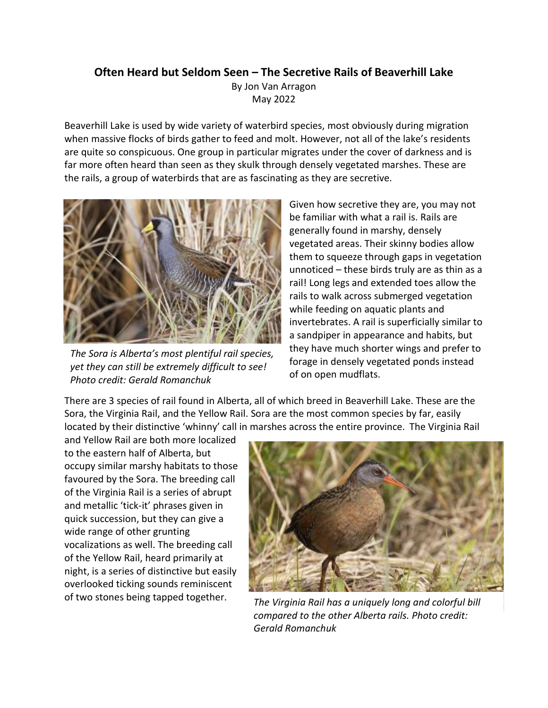## **Often Heard but Seldom Seen – The Secretive Rails of Beaverhill Lake**

By Jon Van Arragon May 2022

Beaverhill Lake is used by wide variety of waterbird species, most obviously during migration when massive flocks of birds gather to feed and molt. However, not all of the lake's residents are quite so conspicuous. One group in particular migrates under the cover of darkness and is far more often heard than seen as they skulk through densely vegetated marshes. These are the rails, a group of waterbirds that are as fascinating as they are secretive.



*The Sora is Alberta's most plentiful rail species, yet they can still be extremely difficult to see! Photo credit: Gerald Romanchuk*

Given how secretive they are, you may not be familiar with what a rail is. Rails are generally found in marshy, densely vegetated areas. Their skinny bodies allow them to squeeze through gaps in vegetation unnoticed – these birds truly are as thin as a rail! Long legs and extended toes allow the rails to walk across submerged vegetation while feeding on aquatic plants and invertebrates. A rail is superficially similar to a sandpiper in appearance and habits, but they have much shorter wings and prefer to forage in densely vegetated ponds instead of on open mudflats.

There are 3 species of rail found in Alberta, all of which breed in Beaverhill Lake. These are the Sora, the Virginia Rail, and the Yellow Rail. Sora are the most common species by far, easily located by their distinctive 'whinny' call in marshes across the entire province. The Virginia Rail

and Yellow Rail are both more localized to the eastern half of Alberta, but occupy similar marshy habitats to those favoured by the Sora. The breeding call of the Virginia Rail is a series of abrupt and metallic 'tick-it' phrases given in quick succession, but they can give a wide range of other grunting vocalizations as well. The breeding call of the Yellow Rail, heard primarily at night, is a series of distinctive but easily overlooked ticking sounds reminiscent



of two stones being tapped together. *The Virginia Rail has a uniquely long and colorful bill compared to the other Alberta rails. Photo credit: Gerald Romanchuk*